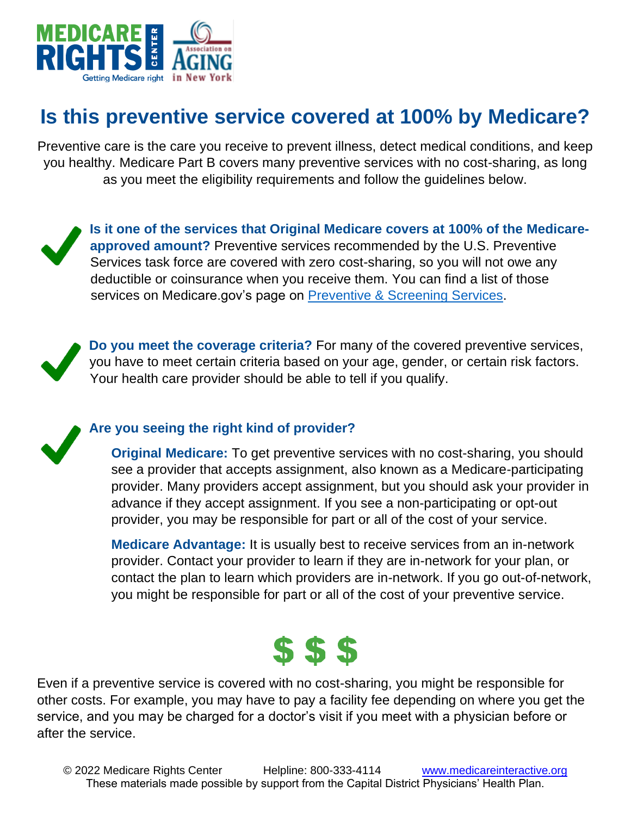

## **Is this preventive service covered at 100% by Medicare?**

Preventive care is the care you receive to prevent illness, detect medical conditions, and keep you healthy. Medicare Part B covers many preventive services with no cost-sharing, as long as you meet the eligibility requirements and follow the guidelines below.

**Is it one of the services that Original Medicare covers at 100% of the Medicareapproved amount?** Preventive services recommended by the U.S. Preventive Services task force are covered with zero cost-sharing, so you will not owe any deductible or coinsurance when you receive them. You can find a list of those services on Medicare.gov's page on [Preventive & Screening Services.](https://www.medicare.gov/coverage/preventive-screening-services)



**Do you meet the coverage criteria?** For many of the covered preventive services, you have to meet certain criteria based on your age, gender, or certain risk factors. Your health care provider should be able to tell if you qualify.

**Are you seeing the right kind of provider?** 

**Original Medicare:** To get preventive services with no cost-sharing, you should see a provider that accepts assignment, also known as a Medicare-participating provider. Many providers accept assignment, but you should ask your provider in advance if they accept assignment. If you see a non-participating or opt-out provider, you may be responsible for part or all of the cost of your service.

**Medicare Advantage:** It is usually best to receive services from an in-network provider. Contact your provider to learn if they are in-network for your plan, or contact the plan to learn which providers are in-network. If you go out-of-network, you might be responsible for part or all of the cost of your preventive service.



Even if a preventive service is covered with no cost-sharing, you might be responsible for other costs. For example, you may have to pay a facility fee depending on where you get the service, and you may be charged for a doctor's visit if you meet with a physician before or after the service.